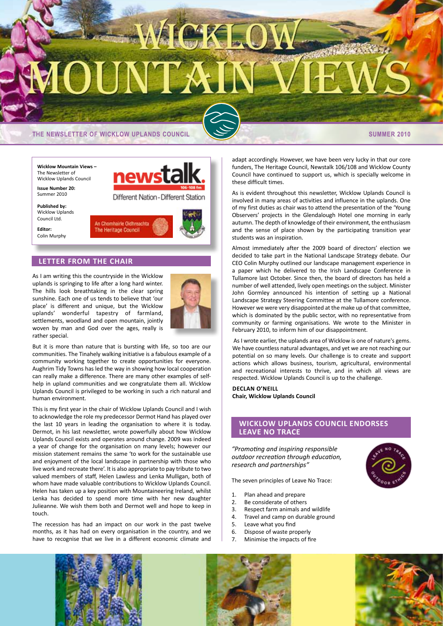# **DINTER**

**THE NEWSLETTER OF WICKLOW UPLANDS COUNCIL SUMMER 2010** 

**Wicklow Mountain Views –** The Newsletter of Wicklow Uplands Council

**Issue Number 20:** Summer 2010

**Published by:** Wicklow Uplands Council Ltd.

**Editor:** Colin Murphy



# **LETTER FROM THE CHAIR**

As I am writing this the countryside in the Wicklow uplands is springing to life after a long hard winter. The hills look breathtaking in the clear spring sunshine. Each one of us tends to believe that 'our place' is different and unique, but the Wicklow uplands' wonderful tapestry of farmland, settlements, woodland and open mountain, jointly woven by man and God over the ages, really is rather special.



But it is more than nature that is bursting with life, so too are our communities. The Tinahely walking initiative is a fabulous example of a community working together to create opportunities for everyone. Aughrim Tidy Towns has led the way in showing how local cooperation can really make a difference. There are many other examples of selfhelp in upland communities and we congratulate them all. Wicklow Uplands Council is privileged to be working in such a rich natural and human environment.

This is my first year in the chair of Wicklow Uplands Council and I wish to acknowledge the role my predecessor Dermot Hand has played over the last 10 years in leading the organisation to where it is today. Dermot, in his last newsletter, wrote powerfully about how Wicklow Uplands Council exists and operates around change. 2009 was indeed a year of change for the organisation on many levels; however our mission statement remains the same 'to work for the sustainable use and enjoyment of the local landscape in partnership with those who live work and recreate there'. It is also appropriate to pay tribute to two valued members of staff, Helen Lawless and Lenka Mulligan, both of whom have made valuable contributions to Wicklow Uplands Council. Helen has taken up a key position with Mountaineering Ireland, whilst Lenka has decided to spend more time with her new daughter Julieanne. We wish them both and Dermot well and hope to keep in touch.

The recession has had an impact on our work in the past twelve months, as it has had on every organisation in the country, and we have to recognise that we live in a different economic climate and adapt accordingly. However, we have been very lucky in that our core funders, The Heritage Council, Newstalk 106/108 and Wicklow County Council have continued to support us, which is specially welcome in these difficult times.

As is evident throughout this newsletter, Wicklow Uplands Council is involved in many areas of activities and influence in the uplands. One of my first duties as chair was to attend the presentation of the 'Young Observers' projects in the Glendalough Hotel one morning in early autumn. The depth of knowledge of their environment, the enthusiasm and the sense of place shown by the participating transition year students was an inspiration.

Almost immediately after the 2009 board of directors' election we decided to take part in the National Landscape Strategy debate. Our CEO Colin Murphy outlined our landscape management experience in a paper which he delivered to the Irish Landscape Conference in Tullamore last October. Since then, the board of directors has held a number of well attended, lively open meetings on the subject. Minister John Gormley announced his intention of setting up a National Landscape Strategy Steering Committee at the Tullamore conference. However we were very disappointed at the make up of that committee, which is dominated by the public sector, with no representative from community or farming organisations. We wrote to the Minister in February 2010, to inform him of our disappointment.

As I wrote earlier, the uplands area of Wicklow is one of nature's gems. We have countless natural advantages, and yet we are not reaching our potential on so many levels. Our challenge is to create and support actions which allows business, tourism, agricultural, environmental and recreational interests to thrive, and in which all views are respected. Wicklow Uplands Council is up to the challenge.

**Declan O'Neill Chair, Wicklow Uplands Council**

### **Wicklow Uplands Council endorses Leave No Trace**

*"Promoting and inspiring responsible outdoor recreation through education, research and partnerships"*

The seven principles of Leave No Trace:

- 1. Plan ahead and prepare
- 2. Be considerate of others
- 3. Respect farm animals and wildlife
- 4. Travel and camp on durable ground
- 5. Leave what you find
- 6. Dispose of waste properly
- 7. Minimise the impacts of fire





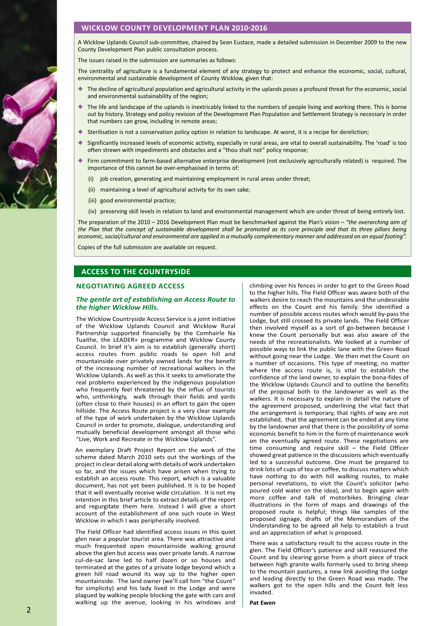# **WICKLOW COUNTY DEVELOPMENT PLAN 2010-2016**

A Wicklow Uplands Council sub-committee, chaired by Sean Eustace, made a detailed submission in December 2009 to the new County Development Plan public consultation process.

The issues raised in the submission are summaries as follows:

The centrality of agriculture is a fundamental element of any strategy to protect and enhance the economic, social, cultural, environmental and sustainable development of County Wicklow, given that:

- The decline of agricultural population and agricultural activity in the uplands poses a profound threat for the economic, social and environmental sustainability of the region;
- The life and landscape of the uplands is inextricably linked to the numbers of people living and working there. This is borne out by history. Strategy and policy revision of the Development Plan Population and Settlement Strategy is necessary in order that numbers can grow, including in remote areas;
- Sterilisation is not a conservation policy option in relation to landscape. At worst, it is a recipe for dereliction;
- ◆ Significantly increased levels of economic activity, especially in rural areas, are vital to overall sustainability. The 'road' is too often strewn with impediments and obstacles and a "thou shalt not" policy response;
- Firm commitment to farm-based alternative enterprise development (not exclusively agriculturally related) is required. The importance of this cannot be over-emphasised in terms of:
	- (i) job creation, generating and maintaining employment in rural areas under threat;
	- (ii) maintaining a level of agricultural activity for its own sake;
	- (iii) good environmental practice:
	- (iv) preserving skill levels in relation to land and environmental management which are under threat of being entirely lost.

The preparation of the 2010 – 2016 Development Plan must be benchmarked against the Plan's vision – *"the overarching aim of the Plan that the concept of sustainable development shall be promoted as its core principle and that its three pillars being economic, social/cultural and environmental are applied in a mutually complementary manner and addressed on an equal footing".*

Copies of the full submission are available on request.

# **access to the countryside**

### **Negotiating agreed access**

### *The gentle art of establishing an Access Route to the higher Wicklow Hills.*

The Wicklow Countryside Access Service is a joint initiative of the Wicklow Uplands Council and Wicklow Rural Partnership supported financially by the Comhairle Na Tuaithe, the LEADER+ programme and Wicklow County Council. In brief it's aim is to establish (generally short) access routes from public roads to open hill and mountainside over privately owned lands for the benefit of the increasing number of recreational walkers in the Wicklow Uplands. As well as this it seeks to ameliorate the real problems experienced by the indigenous population who frequently feel threatened by the influx of tourists who, unthinkingly, walk through their fields and yards (often close to their houses) in an effort to gain the open hillside. The Access Route project is a very clear example of the type of work undertaken by the Wicklow Uplands Council in order to promote, dialogue, understanding and mutually beneficial development amongst all those who "Live, Work and Recreate in the Wicklow Uplands".

An exemplary Draft Project Report on the work of the scheme dated March 2010 sets out the workings of the project in clear detail along with details of work undertaken so far, and the issues which have arisen when trying to establish an access route. This report, which is a valuable document, has not yet been published. It is to be hoped that it will eventually receive wide circulation. It is not my intention in this brief article to extract details of the report and regurgitate them here. Instead I will give a short account of the establishment of one such route in West Wicklow in which I was peripherally involved.

The Field Officer had identified access issues in this quiet glen near a popular tourist area. There was attractive and much frequented open mountainside walking ground above the glen but access was over private lands. A narrow cul-de-sac lane led to half dozen or so houses and terminated at the gates of a private lodge beyond which a green hill road wound its way up to the higher open mountainside. The land owner (we'll call him "the Count" for simplicity) and his lady lived in the Lodge and were plagued by walking people blocking the gate with cars and walking up the avenue, looking in his windows and climbing over his fences in order to get to the Green Road to the higher hills. The Field Officer was aware both of the walkers desire to reach the mountains and the undesirable effects on the Count and his family. She identified a number of possible access routes which would by-pass the Lodge, but still crossed its private lands. The Field Officer then involved myself as a sort of go-between because I knew the Count personally but was also aware of the needs of the recreationalists. We looked at a number of possible ways to link the public lane with the Green Road without going near the Lodge. We then met the Count on a number of occasions. This type of meeting, no matter where the access route is, is vital to establish the confidence of the land owner, to explain the bona-fides of the Wicklow Uplands Council and to outline the benefits of the proposal both to the landowner as well as the walkers. It is necessary to explain in detail the nature of the agreement proposed, underlining the vital fact that the arrangement is temporary, that rights of way are not established, that the agreement can be ended at any time by the landowner and that there is the possibility of some economic benefit to him in the form of maintenance work on the eventually agreed route. These negotiations are time consuming and require skill – the Field Officer showed great patience in the discussions which eventually led to a successful outcome. One must be prepared to drink lots of cups of tea or coffee, to discuss matters which have nothing to do with hill walking routes, to make personal revelations, to visit the Count's solicitor (who poured cold water on the idea), and to begin again with more coffee and talk of motorbikes. Bringing clear illustrations in the form of maps and drawings of the proposed route is helpful; things like samples of the proposed signage, drafts of the Memorandum of the Understanding to be agreed all help to establish a trust and an appreciation of what is proposed.

There was a satisfactory result to the access route in the glen. The Field Officer's patience and skill reassured the Count and by clearing gorse from a short piece of track between high granite walls formerly used to bring sheep to the mountain pastures, a new link avoiding the Lodge and leading directly to the Green Road was made. The walkers got to the open hills and the Count felt less invaded.

**Pat Ewen**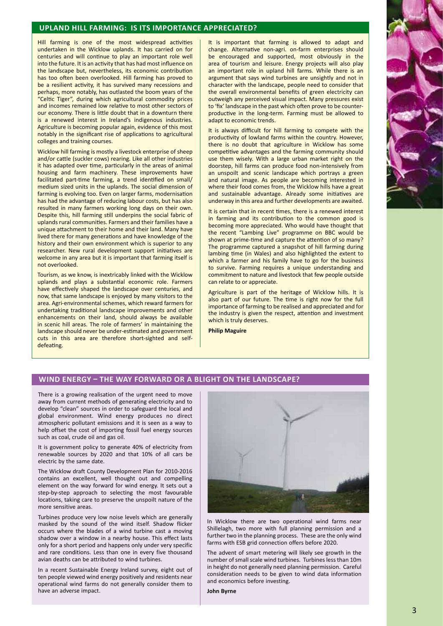# **Upland Hill Farming: Is its importance appreciated?**

Hill farming is one of the most widespread activities undertaken in the Wicklow uplands. It has carried on for centuries and will continue to play an important role well into the future. It is an activity that has had most influence on the landscape but, nevertheless, its economic contribution has too often been overlooked. Hill farming has proved to be a resilient activity, it has survived many recessions and perhaps, more notably, has outlasted the boom years of the "Celtic Tiger", during which agricultural commodity prices and incomes remained low relative to most other sectors of our economy. There is little doubt that in a downturn there is a renewed interest in Ireland's indigenous industries. Agriculture is becoming popular again, evidence of this most notably in the significant rise of applications to agricultural colleges and training courses.

Wicklow hill farming is mostly a livestock enterprise of sheep and/or cattle (suckler cows) rearing. Like all other industries it has adapted over time, particularly in the areas of animal housing and farm machinery. These improvements have facilitated part-time farming, a trend identified on small/ medium sized units in the uplands. The social dimension of farming is evolving too. Even on larger farms, modernisation has had the advantage of reducing labour costs, but has also resulted in many farmers working long days on their own. Despite this, hill farming still underpins the social fabric of uplands rural communities. Farmers and their families have a unique attachment to their home and their land. Many have lived there for many generations and have knowledge of the history and their own environment which is superior to any researcher. New rural development support initiatives are welcome in any area but it is important that farming itself is not overlooked.

Tourism, as we know, is inextricably linked with the Wicklow uplands and plays a substantial economic role. Farmers have effectively shaped the landscape over centuries, and now, that same landscape is enjoyed by many visitors to the area. Agri-environmental schemes, which reward farmers for undertaking traditional landscape improvements and other enhancements on their land, should always be available in scenic hill areas. The role of farmers' in maintaining the landscape should never be under-estimated and government cuts in this area are therefore short-sighted and selfdefeating.

It is important that farming is allowed to adapt and change. Alternative non-agri. on-farm enterprises should be encouraged and supported, most obviously in the area of tourism and leisure. Energy projects will also play an important role in upland hill farms. While there is an argument that says wind turbines are unsightly and not in character with the landscape, people need to consider that the overall environmental benefits of green electricity can outweigh any perceived visual impact. Many pressures exist to 'fix' landscape in the past which often prove to be counterproductive in the long-term. Farming must be allowed to adapt to economic trends.

It is always difficult for hill farming to compete with the productivity of lowland farms within the country. However, there is no doubt that agriculture in Wicklow has some competitive advantages and the farming community should use them wisely. With a large urban market right on the doorstep, hill farms can produce food non-intensively from an unspoilt and scenic landscape which portrays a green and natural image. As people are becoming interested in where their food comes from, the Wicklow hills have a great and sustainable advantage. Already some initiatives are underway in this area and further developments are awaited.

It is certain that in recent times, there is a renewed interest in farming and its contribution to the common good is becoming more appreciated. Who would have thought that the recent "Lambing Live" programme on BBC would be shown at prime-time and capture the attention of so many? The programme captured a snapshot of hill farming during lambing time (in Wales) and also highlighted the extent to which a farmer and his family have to go for the business to survive. Farming requires a unique understanding and commitment to nature and livestock that few people outside can relate to or appreciate.

Agriculture is part of the heritage of Wicklow hills. It is also part of our future. The time is right now for the full importance of farming to be realised and appreciated and for the industry is given the respect, attention and investment which is truly deserves.

**Philip Maguire**

### **Wind Energy – the way forward or a blight on the landscape?**

There is a growing realisation of the urgent need to move away from current methods of generating electricity and to develop "clean" sources in order to safeguard the local and global environment. Wind energy produces no direct atmospheric pollutant emissions and it is seen as a way to help offset the cost of importing fossil fuel energy sources such as coal, crude oil and gas oil.

It is government policy to generate 40% of electricity from renewable sources by 2020 and that 10% of all cars be electric by the same date.

The Wicklow draft County Development Plan for 2010-2016 contains an excellent, well thought out and compelling element on the way forward for wind energy. It sets out a step-by-step approach to selecting the most favourable locations, taking care to preserve the unspoilt nature of the more sensitive areas.

Turbines produce very low noise levels which are generally masked by the sound of the wind itself. Shadow flicker occurs where the blades of a wind turbine cast a moving shadow over a window in a nearby house. This effect lasts only for a short period and happens only under very specific and rare conditions. Less than one in every five thousand avian deaths can be attributed to wind turbines.

In a recent Sustainable Energy Ireland survey, eight out of ten people viewed wind energy positively and residents near operational wind farms do not generally consider them to have an adverse impact.



In Wicklow there are two operational wind farms near Shillelagh, two more with full planning permission and a further two in the planning process. These are the only wind farms with ESB grid connection offers before 2020.

The advent of smart metering will likely see growth in the number of small scale wind turbines. Turbines less than 10m in height do not generally need planning permission. Careful consideration needs to be given to wind data information and economics before investing.

**John Byrne**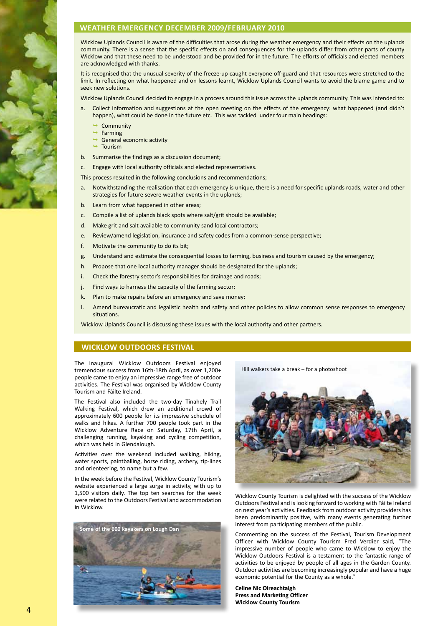# **WEATHER EMERGENCY DECEMBER 2009/FEBRUARY 2010**

Wicklow Uplands Council is aware of the difficulties that arose during the weather emergency and their effects on the uplands community. There is a sense that the specific effects on and consequences for the uplands differ from other parts of county Wicklow and that these need to be understood and be provided for in the future. The efforts of officials and elected members are acknowledged with thanks.

It is recognised that the unusual severity of the freeze-up caught everyone off-guard and that resources were stretched to the limit. In reflecting on what happened and on lessons learnt, Wicklow Uplands Council wants to avoid the blame game and to seek new solutions.

Wicklow Uplands Council decided to engage in a process around this issue across the uplands community. This was intended to:

- a. Collect information and suggestions at the open meeting on the effects of the emergency: what happened (and didn't happen), what could be done in the future etc. This was tackled under four main headings:
- $\rightarrow$  Community  $\rightarrow$  Community
	- $\rightarrow$  Farming the contract of the contract of the contract of the contract of the contract of the contract of the contract of the contract of the contract of the contract of the contract of the contract of the contract of
	- General economic activity
	- Tourism
- b. Summarise the findings as a discussion document;

c. Engage with local authority officials and elected representatives.

This process resulted in the following conclusions and recommendations;

- a. Notwithstanding the realisation that each emergency is unique, there is a need for specific uplands roads, water and other strategies for future severe weather events in the uplands;
- b. Learn from what happened in other areas;
- c. Compile a list of uplands black spots where salt/grit should be available;
- d. Make grit and salt available to community sand local contractors:
- e. Review/amend legislation, insurance and safety codes from a common-sense perspective;
- f. Motivate the community to do its bit:
- g. Understand and estimate the consequential losses to farming, business and tourism caused by the emergency;
- h. Propose that one local authority manager should be designated for the uplands;
- i. Check the forestry sector's responsibilities for drainage and roads;
- j. Find ways to harness the capacity of the farming sector;
- k. Plan to make repairs before an emergency and save money;
- l. Amend bureaucratic and legalistic health and safety and other policies to allow common sense responses to emergency situations.

Wicklow Uplands Council is discussing these issues with the local authority and other partners.

### **wicklow outdoors festival**

The inaugural Wicklow Outdoors Festival enjoyed tremendous success from 16th-18th April, as over 1,200+ people came to enjoy an impressive range free of outdoor activities. The Festival was organised by Wicklow County Tourism and Fáilte Ireland.

The Festival also included the two-day Tinahely Trail Walking Festival, which drew an additional crowd of approximately 600 people for its impressive schedule of walks and hikes. A further 700 people took part in the Wicklow Adventure Race on Saturday, 17th April, a challenging running, kayaking and cycling competition, which was held in Glendalough.

Activities over the weekend included walking, hiking, water sports, paintballing, horse riding, archery, zip-lines and orienteering, to name but a few.

In the week before the Festival, Wicklow County Tourism's website experienced a large surge in activity, with up to 1,500 visitors daily. The top ten searches for the week were related to the Outdoors Festival and accommodation in Wicklow.







Wicklow County Tourism is delighted with the success of the Wicklow Outdoors Festival and islooking forward to working with Fáilte Ireland on next year's activities. Feedback from outdoor activity providers has been predominantly positive, with many events generating further interest from participating members of the public.

Commenting on the success of the Festival, Tourism Development Officer with Wicklow County Tourism Fred Verdier said, "The impressive number of people who came to Wicklow to enjoy the Wicklow Outdoors Festival is a testament to the fantastic range of activities to be enjoyed by people of all ages in the Garden County. Outdoor activities are becoming increasingly popular and have a huge economic potential for the County as a whole."

**Celine Nic Oireachtaigh Press and Marketing Officer Wicklow County Tourism**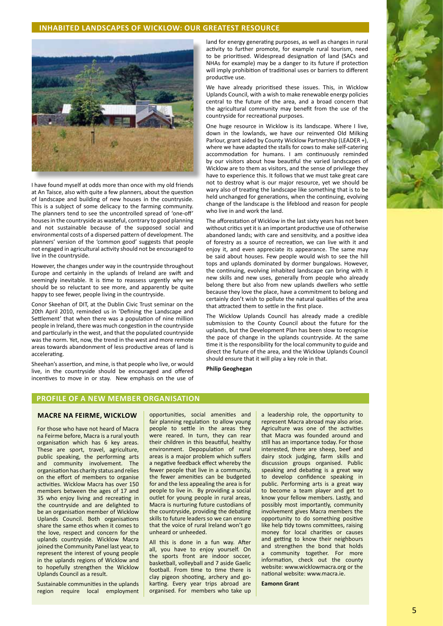### **INHABITED LANDSCAPES OF WICKLOW: OUR GREATEST RESOURCE**



I have found myself at odds more than once with my old friends at An Taisce, also with quite a few planners, about the question of landscape and building of new houses in the countryside. This is a subject of some delicacy to the farming community. The planners tend to see the uncontrolled spread of 'one-off' housesin the countryside as wasteful, contrary to good planning and not sustainable because of the supposed social and environmental costs of a dispersed pattern of development. The planners' version of the 'common good' suggests that people not engaged in agricultural activity should not be encouraged to live in the countryside.

However, the changes under way in the countryside throughout Europe and certainly in the uplands of Ireland are swift and seemingly inevitable. It is time to reassess urgently why we should be so reluctant to see more, and apparently be quite happy to see fewer, people living in the countryside.

Conor Skeehan of DIT, at the Dublin Civic Trust seminar on the 20th April 2010, reminded us in 'Defining the Landscape and Settlement' that when there was a population of nine million people in Ireland, there was much congestion in the countryside and particularly in the west, and that the populated countryside was the norm. Yet, now, the trend in the west and more remote areas towards abandonment of less productive areas of land is accelerating.

Sheehan's assertion, and mine, isthat people who live, or would live, in the countryside should be encouraged and offered incentives to move in or stay. New emphasis on the use of

land for energy generating purposes, as well as changes in rural activity to further promote, for example rural tourism, need to be prioritised. Widespread designation of land (SACs and NHAs for example) may be a danger to its future if protection will imply prohibition of traditional uses or barriers to different productive use.

We have already prioritised these issues. This, in Wicklow Uplands Council, with a wish to make renewable energy policies central to the future of the area, and a broad concern that the agricultural community may benefit from the use of the countryside for recreational purposes.

One huge resource in Wicklow is its landscape. Where I live, down in the lowlands, we have our reinvented Old Milking Parlour, grant aided by County Wicklow Partnership (LEADER +), where we have adapted the stalls for cows to make self-catering accommodation for humans. I am continuously reminded by our visitors about how beautiful the varied landscapes of Wicklow are to them as visitors, and the sense of privilege they have to experience this. It follows that we must take great care not to destroy what is our major resource, yet we should be wary also of treating the landscape like something that is to be held unchanged for generations, when the continuing, evolving change of the landscape is the lifeblood and reason for people who live in and work the land.

The afforestation of Wicklow in the last sixty years has not been without critics yet it is an important productive use of otherwise abandoned lands; with care and sensitivity, and a positive idea of forestry as a source of recreation, we can live with it and enjoy it, and even appreciate its appearance. The same may be said about houses. Few people would wish to see the hill tops and uplands dominated by dormer bungalows. However, the continuing, evolving inhabited landscape can bring with it new skills and new uses, generally from people who already belong there but also from new uplands dwellers who settle because they love the place, have a commitment to belong and certainly don't wish to pollute the natural qualities of the area that attracted them to settle in the first place.

The Wicklow Uplands Council has already made a credible submission to the County Council about the future for the uplands, but the Development Plan has been slow to recognise the pace of change in the uplands countryside. At the same time it is the responsibility for the local community to guide and direct the future of the area, and the Wicklow Uplands Council should ensure that it will play a key role in that.

**Philip Geoghegan**

### **profile of a new member organisation**

### **Macre na FEIRME, Wicklow**

For those who have not heard of Macra na Feirme before, Macra is a rural youth organisation which has 6 key areas. These are sport, travel, agriculture, public speaking, the performing arts and community involvement. The organisation has charity status and relies on the effort of members to organise activities. Wicklow Macra has over 150 members between the ages of 17 and 35 who enjoy living and recreating in the countryside and are delighted to be an organisation member of Wicklow Uplands Council. Both organisations share the same ethos when it comes to the love, respect and concern for the uplands countryside. Wicklow Macra joined the Community Panel last year, to represent the interest of young people in the uplands regions of Wicklow and to hopefully strengthen the Wicklow Uplands Council as a result.

Sustainable communities in the uplands region require local employment opportunities, social amenities and fair planning regulation to allow young people to settle in the areas they were reared. In turn, they can rear their children in this beautiful, healthy environment. Depopulation of rural areas is a major problem which suffers a negative feedback effect whereby the fewer people that live in a community, the fewer amenities can be budgeted for and the less appealing the area is for people to live in. By providing a social outlet for young people in rural areas, Macra is nurturing future custodians of the countryside, providing the debating skills to future leaders so we can ensure that the voice of rural Ireland won't go unheard or unheeded.

All this is done in a fun way. After all, you have to enjoy yourself. On the sports front are indoor soccer, basketball, volleyball and 7 aside Gaelic football. From time to time there is clay pigeon shooting, archery and gokarting. Every year trips abroad are organised. For members who take up

a leadership role, the opportunity to represent Macra abroad may also arise. Agriculture was one of the activities that Macra was founded around and still has an importance today. For those interested, there are sheep, beef and dairy stock judging, farm skills and discussion groups organised. Public speaking and debating is a great way to develop confidence speaking in public. Performing arts is a great way to become a team player and get to know your fellow members. Lastly, and possibly most importantly, community involvement gives Macra members the opportunity to do something positive like help tidy towns committees, raising money for local charities or causes and getting to know their neighbours and strengthen the bond that holds a community together. For more information, check out the county website: www.wicklowmacra.org or the national website: www.macra.ie.

**Eamonn Grant**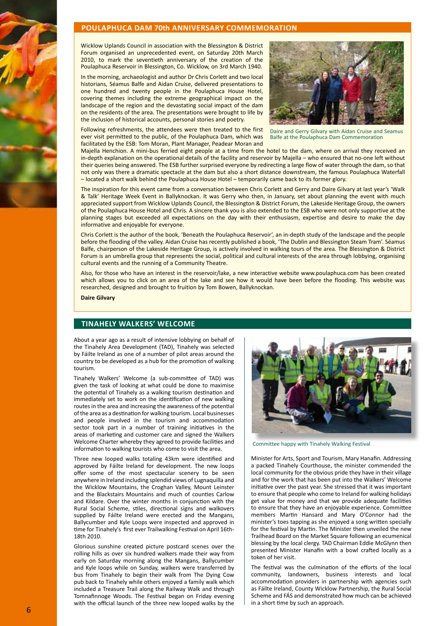### **POULAPHUCA DAM 70th ANNIVERSARY COMMEMORATION**

Wicklow Uplands Council in association with the Blessington & District Forum organised an unprecedented event, on Saturday 20th March 2010, to mark the seventieth anniversary of the creation of the Poulaphuca Reservoir in Blessington, Co. Wicklow, on 3rd March 1940.

In the morning, archaeologist and author Dr Chris Corlett and two local historians, Séamus Balfe and Aidan Cruise, delivered presentations to one hundred and twenty people in the Poulaphuca House Hotel, covering themes including the extreme geographical impact on the landscape of the region and the devastating social impact of the dam on the residents of the area. The presentations were brought to life by the inclusion of historical accounts, personal stories and poetry.

Following refreshments, the attendees were then treated to the first ever visit permitted to the public, of the Poulaphuca Dam, which was facilitated by the ESB: Tom Moran, Plant Manager, Peadear Moran and



Daire and Gerry Gilvary with Aidan Cruise and Seamus Balfe at the Poulaphuca Dam Commemoration

Majella Henchion. A mini-bus ferried eight people at a time from the hotel to the dam, where on arrival they received an in-depth explanation on the operational details of the facility and reservoir by Majella – who ensured that no-one left without their queries being answered. The ESB further surprised everyone by redirecting a large flow of water through the dam, so that not only was there a dramatic spectacle at the dam but also a short distance downstream, the famous Poulaphuca Waterfall – located a short walk behind the Poulaphuca House Hotel – temporarily came back to its former glory.

The inspiration for this event came from a conversation between Chris Corlett and Gerry and Daire Gilvary at last year's 'Walk & Talk' Heritage Week Event in Ballyknockan. It was Gerry who then, in January, set about planning the event with much appreciated support from Wicklow Uplands Council, the Blessington & District Forum, the Lakeside Heritage Group, the owners of the Poulaphuca House Hotel and Chris. A sincere thank you is also extended to the ESB who were not only supportive at the planning stages but exceeded all expectations on the day with their enthusiasm, expertise and desire to make the day informative and enjoyable for everyone.

Chris Corlett is the author of the book, 'Beneath the Poulaphuca Reservoir', an in-depth study of the landscape and the people before the flooding of the valley. Aidan Cruise has recently published a book, 'The Dublin and Blessington Steam Tram'. Séamus Balfe, chairperson of the Lakeside Heritage Group, is actively involved in walking tours of the area. The Blessington & District Forum is an umbrella group that represents the social, political and cultural interests of the area through lobbying, organising cultural events and the running of a Community Theatre.

Also, for those who have an interest in the reservoir/lake, a new interactive website www.poulaphuca.com has been created which allows you to click on an area of the lake and see how it would have been before the flooding. This website was researched, designed and brought to fruition by Tom Bowen, Ballyknockan.

**Daire Gilvary**

# **TInahely Walkers' Welcome**

About a year ago as a result of intensive lobbying on behalf of the Tinahely Area Development (TAD), Tinahely was selected by Fáilte Ireland as one of a number of pilot areas around the country to be developed as a hub for the promotion of walking tourism.

Tinahely Walkers' Welcome (a sub-committee of TAD) was given the task of looking at what could be done to maximise the potential of Tinahely as a walking tourism destination and immediately set to work on the identification of new walking routes in the area and increasing the awareness of the potential of the area as a destination for walking tourism. Local businesses and people involved in the tourism and accommodation sector took part in a number of training initiatives in the areas of marketing and customer care and signed the Walkers Welcome Charter whereby they agreed to provide facilities and information to walking tourists who come to visit the area.

Three new looped walks totaling 43km were identified and approved by Fáilte Ireland for development. The new loops offer some of the most spectacular scenery to be seen anywhere in Ireland including splendid views of Lugnaquilla and the Wicklow Mountains, the Croghan Valley, Mount Leinster and the Blackstairs Mountains and much of counties Carlow and Kildare. Over the winter months in conjunction with the Rural Social Scheme, stiles, directional signs and walkovers supplied by Fáilte Ireland were erected and the Mangans, Ballycumber and Kyle Loops were inspected and approved in time for Tinahely's first ever Trailwalking Festival on April 16th-18th 2010.

Glorious sunshine created picture postcard scenes over the rolling hills as over six hundred walkers made their way from early on Saturday morning along the Mangans, Ballycumber and Kyle loops while on Sunday, walkers were transferred by bus from Tinahely to begin their walk from The Dying Cow pub back to Tinahely while others enjoyed a family walk which included a Treasure Trail along the Railway Walk and through Tomnafinnoge Woods. The Festival began on Friday evening with the official launch of the three new looped walks by the



Committee happy with Tinahely Walking Festival

Minister for Arts, Sport and Tourism, Mary Hanafin. Addressing a packed Tinahely Courthouse, the minister commended the local community for the obvious pride they have in their village and for the work that has been put into the Walkers' Welcome initiative over the past year. She stressed that it was important to ensure that people who come to Ireland for walking holidays get value for money and that we provide adequate facilities to ensure that they have an enjoyable experience. Committee members Martin Hansard and Mary O'Connor had the minister's toes tapping as she enjoyed a song written specially for the festival by Martin. The Minister then unveiled the new Trailhead Board on the Market Square following an ecumenical blessing by the local clergy. TAD Chairman Eddie McGlynn then presented Minister Hanafin with a bowl crafted locally as a token of her visit.

The festival was the culmination of the efforts of the local community, landowners, business interests and local accommodation providers in partnership with agencies such as Fáilte Ireland, County Wicklow Partnership, the Rural Social Scheme and FÁS and demonstrated how much can be achieved in a short time by such an approach.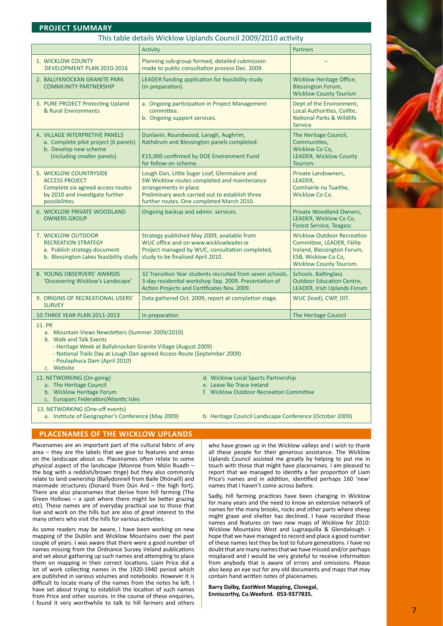### **Project summary**

### This table details Wicklow Uplands Council 2009/2010 activity

| THIS GODE GETAILS WICKFOW OPIGHTUS COUTICH 2009/2010 ACTIVITY                                                                                                                                                |                                                                                                                                                                                                                       |                                                                                                                                                        |
|--------------------------------------------------------------------------------------------------------------------------------------------------------------------------------------------------------------|-----------------------------------------------------------------------------------------------------------------------------------------------------------------------------------------------------------------------|--------------------------------------------------------------------------------------------------------------------------------------------------------|
|                                                                                                                                                                                                              | <b>Activity</b>                                                                                                                                                                                                       | <b>Partners</b>                                                                                                                                        |
| 1. WICKLOW COUNTY<br>DEVELOPMENT PLAN 2010-2016                                                                                                                                                              | Planning sub-group formed, detailed submission<br>made to public consultation process Dec. 2009.                                                                                                                      |                                                                                                                                                        |
| 2. BALLYKNOCKAN GRANITE PARK<br><b>COMMUNITY PARTNERSHIP</b>                                                                                                                                                 | LEADER funding application for feasibility study<br>(in preparation).                                                                                                                                                 | <b>Wicklow Heritage Office,</b><br><b>Blessington Forum,</b><br><b>Wicklow County Tourism</b>                                                          |
| 3. PURE PROJECT Protecting Upland<br>& Rural Environments                                                                                                                                                    | a. Ongoing participation in Project Management<br>committee.<br>b. Ongoing support services.                                                                                                                          | Dept of the Environment,<br>Local Authorities, Coillte,<br><b>National Parks &amp; Wildlife</b><br><b>Service</b>                                      |
| 4. VILLAGE INTERPRETIVE PANELS<br>a. Complete pilot project (6 panels)<br>b. Develop new scheme<br>(including smaller panels)                                                                                | Dunlavin, Roundwood, Laragh, Aughrim,<br>Rathdrum and Blessington panels completed.<br>€15,000 confirmed by DOE Environment Fund<br>for follow-on scheme.                                                             | The Heritage Council,<br>Communities,<br>Wicklow Co Co,<br><b>LEADER, Wicklow County</b><br>Tourism.                                                   |
| 5. WICKLOW COUNTRYSIDE<br><b>ACCESS PROJECT</b><br>Complete six agreed access routes<br>by 2010 and investigate further<br>possibilities.                                                                    | Lough Dan, Little Sugar Loaf, Glenmalure and<br>SW Wicklow routes completed and maintenance<br>arrangements in place.<br>Preliminary work carried out to establish three<br>further routes. One completed March 2010. | Private Landowners,<br>LEADER,<br>Comhairle na Tuaithe,<br>Wicklow Co Co.                                                                              |
| 6. WICKLOW PRIVATE WOODLAND<br><b>OWNERS GROUP</b>                                                                                                                                                           | Ongoing backup and admin. services.                                                                                                                                                                                   | Private Woodland Owners,<br>LEADER, Wicklow Co Co,<br><b>Forest Service, Teagasc</b>                                                                   |
| 7. WICKLOW OUTDOOR<br><b>RECREATION STRATEGY</b><br>a. Publish strategy document<br>b. Blessington Lakes feasibility study                                                                                   | Strategy published May 2009, available from<br>WUC office and on www.wicklowleader.ie<br>Project managed by WUC, consultation completed,<br>study to be finalised April 2010.                                         | <b>Wicklow Outdoor Recreation</b><br>Committee, LEADER, Fáilte<br>Ireland, Blessington Forum,<br>ESB, Wicklow Co Co,<br><b>Wicklow County Tourism.</b> |
| 8. YOUNG OBSERVERS' AWARDS<br>'Discovering Wicklow's Landscape'                                                                                                                                              | 32 Transition Year students recruited from seven schools.<br>3-day residential workshop Sep. 2009. Presentation of<br>Action Projects and Certificates Nov. 2009.                                                     | <b>Schools. Baltinglass</b><br><b>Outdoor Education Centre,</b><br><b>LEADER, Irish Uplands Forum</b>                                                  |
| 9. ORIGINS OF RECREATIONAL USERS'<br><b>SURVEY</b>                                                                                                                                                           | Data gathered Oct. 2009, report at completion stage.                                                                                                                                                                  | WUC (lead), CWP, DIT.                                                                                                                                  |
| 10. THREE YEAR PLAN 2011-2013                                                                                                                                                                                | In preparation                                                                                                                                                                                                        | The Heritage Council                                                                                                                                   |
| <b>11. PR</b><br>a. Mountain Views Newsletters (Summer 2009/2010)<br>b. Walk and Talk Events<br>- Heritage Week at Ballyknockan Granite Village (August 2009)<br>- Poulaphuca Dam (April 2010)<br>c. Website | - National Trails Day at Lough Dan agreed Access Route (September 2009)                                                                                                                                               |                                                                                                                                                        |
| 12. NETWORKING (On-going)<br>a. The Heritage Council<br>b. Wicklow Heritage Forum<br>c. Europarc Federation/Atlantic Isles                                                                                   | d. Wicklow Local Sports Partnership<br>e. Leave No Trace Ireland<br>f. Wicklow Outdoor Recreation Committee                                                                                                           |                                                                                                                                                        |
| 13. NETWORKING (One-off events)                                                                                                                                                                              |                                                                                                                                                                                                                       |                                                                                                                                                        |

a. Institute of Geographer's Conference (May 2009) b. Heritage Council Landscape Conference (October 2009)

# **Placenames of the Wicklow Uplands**

Placenames are an important part of the cultural fabric of any area – they are the labels that we give to features and areas on the landscape about us. Placenames often relate to some physical aspect of the landscape (Monroe from Móin Ruadh – the bog with a reddish/brown tinge) but they also commonly relate to land ownership (Ballydonnell from Baile Dhónaill) and manmade structures (Donard from Dún Ard – the high fort). There are also placenames that derive from hill farming (The Green Hollows – a spot where there might be better grazing etc). These names are of everyday practical use to those that live and work on the hills but are also of great interest to the many others who visit the hills for various activities.

As some readers may be aware, I have been working on new mapping of the Dublin and Wicklow Mountains over the past couple of years. I was aware that there were a good number of names missing from the Ordnance Survey Ireland publications and set about gathering up such names and attempting to place them on mapping in their correct locations. Liam Price did a lot of work collecting names in the 1920-1940 period which are published in various volumes and notebooks. However it is difficult to locate many of the names from the notes he left. I have set about trying to establish the location of such names from Price and other sources. In the course of these enquiries, I found it very worthwhile to talk to hill farmers and others who have grown up in the Wicklow valleys and I wish to thank all these people for their generous assistance. The Wicklow Uplands Council assisted me greatly by helping to put me in touch with those that might have placenames. I am pleased to report that we managed to identify a fair proportion of Liam Price's names and in addition, identified perhaps 160 'new' names that I haven't come across before.

Sadly, hill farming practices have been changing in Wicklow for many years and the need to know an extensive network of names for the many brooks, rocks and other parts where sheep might graze and shelter has declined. I have recorded these names and features on two new maps of Wicklow for 2010: Wicklow Mountains West and Lugnaquilla & Glendalough. I hope that we have managed to record and place a good number of these names lest they be lost to future generations. I have no doubt that are many names that we have missed and/or perhaps misplaced and I would be very grateful to receive information from anybody that is aware of errors and omissions. Please also keep an eye out for any old documents and maps that may contain hand written notes of placenames.

**Barry Dalby, EastWest Mapping, Clonegal, Enniscorthy, Co.Wexford. 053-9377835.**